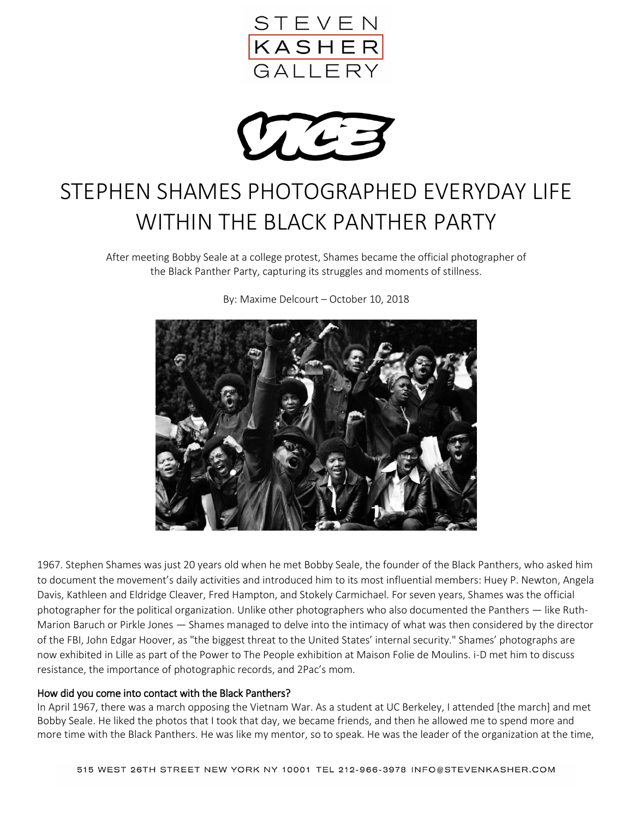

 $\mathcal{L}$ 

# STEPHEN SHAMES PHOTOGRAPHED EVERYDAY LIFE WITHIN THE BLACK PANTHER PARTY

After meeting Bobby Seale at a college protest, Shames became the official photographer of the Black Panther Party, capturing its struggles and moments of stillness.



By: Maxime Delcourt – October 10, 2018

1967. Stephen Shames was just 20 years old when he met Bobby Seale, the founder of the Black Panthers, who asked him to document the movement's daily activities and introduced him to its most influential members: Huey P. Newton, Angela Davis, Kathleen and Eldridge Cleaver, Fred Hampton, and Stokely Carmichael. For seven years, Shames was the official photographer for the political organization. Unlike other photographers who also documented the Panthers — like Ruth-Marion Baruch or Pirkle Jones — Shames managed to delve into the intimacy of what was then considered by the director of the FBI, John Edgar Hoover, as "the biggest threat to the United States' internal security." Shames' photographs are now exhibited in Lille as part of the Power to The People exhibition at Maison Folie de Moulins. i-D met him to discuss resistance, the importance of photographic records, and 2Pac's mom.

#### How did you come into contact with the Black Panthers?

In April 1967, there was a march opposing the Vietnam War. As a student at UC Berkeley, I attended [the march] and met Bobby Seale. He liked the photos that I took that day, we became friends, and then he allowed me to spend more and more time with the Black Panthers. He was like my mentor, so to speak. He was the leader of the organization at the time,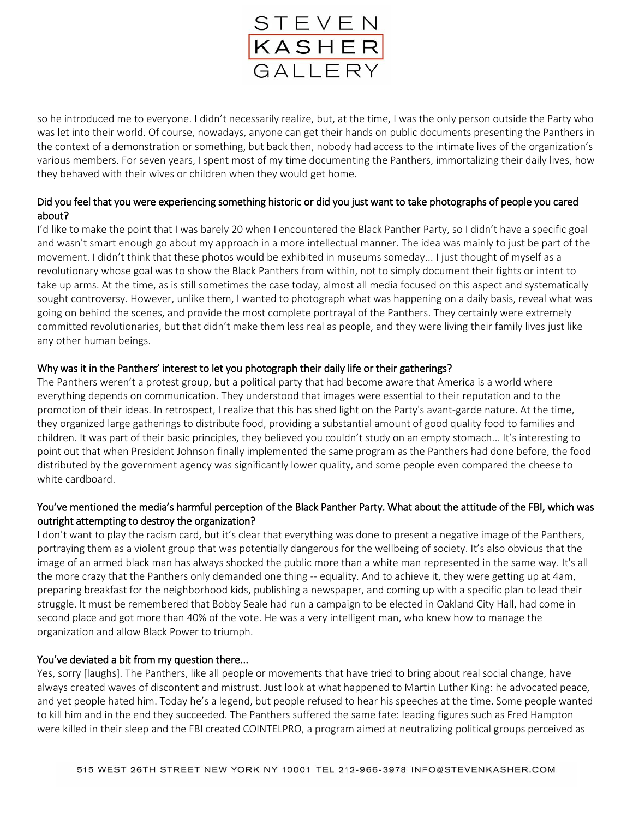

so he introduced me to everyone. I didn't necessarily realize, but, at the time, I was the only person outside the Party who was let into their world. Of course, nowadays, anyone can get their hands on public documents presenting the Panthers in the context of a demonstration or something, but back then, nobody had access to the intimate lives of the organization's various members. For seven years, I spent most of my time documenting the Panthers, immortalizing their daily lives, how they behaved with their wives or children when they would get home.

## Did you feel that you were experiencing something historic or did you just want to take photographs of people you cared about?

I'd like to make the point that I was barely 20 when I encountered the Black Panther Party, so I didn't have a specific goal and wasn't smart enough go about my approach in a more intellectual manner. The idea was mainly to just be part of the movement. I didn't think that these photos would be exhibited in museums someday... I just thought of myself as a revolutionary whose goal was to show the Black Panthers from within, not to simply document their fights or intent to take up arms. At the time, as is still sometimes the case today, almost all media focused on this aspect and systematically sought controversy. However, unlike them, I wanted to photograph what was happening on a daily basis, reveal what was going on behind the scenes, and provide the most complete portrayal of the Panthers. They certainly were extremely committed revolutionaries, but that didn't make them less real as people, and they were living their family lives just like any other human beings.

#### Why was it in the Panthers' interest to let you photograph their daily life or their gatherings?

The Panthers weren't a protest group, but a political party that had become aware that America is a world where everything depends on communication. They understood that images were essential to their reputation and to the promotion of their ideas. In retrospect, I realize that this has shed light on the Party's avant-garde nature. At the time, they organized large gatherings to distribute food, providing a substantial amount of good quality food to families and children. It was part of their basic principles, they believed you couldn't study on an empty stomach... It's interesting to point out that when President Johnson finally implemented the same program as the Panthers had done before, the food distributed by the government agency was significantly lower quality, and some people even compared the cheese to white cardboard.

## You've mentioned the media's harmful perception of the Black Panther Party. What about the attitude of the FBI, which was outright attempting to destroy the organization?

I don't want to play the racism card, but it's clear that everything was done to present a negative image of the Panthers, portraying them as a violent group that was potentially dangerous for the wellbeing of society. It's also obvious that the image of an armed black man has always shocked the public more than a white man represented in the same way. It's all the more crazy that the Panthers only demanded one thing -- equality. And to achieve it, they were getting up at 4am, preparing breakfast for the neighborhood kids, publishing a newspaper, and coming up with a specific plan to lead their struggle. It must be remembered that Bobby Seale had run a campaign to be elected in Oakland City Hall, had come in second place and got more than 40% of the vote. He was a very intelligent man, who knew how to manage the organization and allow Black Power to triumph.

## You've deviated a bit from my question there...

Yes, sorry [laughs]. The Panthers, like all people or movements that have tried to bring about real social change, have always created waves of discontent and mistrust. Just look at what happened to Martin Luther King: he advocated peace, and yet people hated him. Today he's a legend, but people refused to hear his speeches at the time. Some people wanted to kill him and in the end they succeeded. The Panthers suffered the same fate: leading figures such as Fred Hampton were killed in their sleep and the FBI created COINTELPRO, a program aimed at neutralizing political groups perceived as